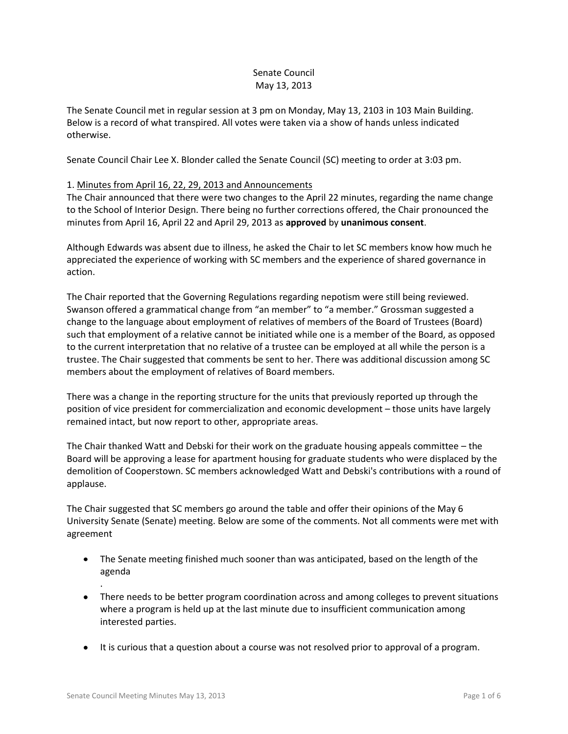# Senate Council May 13, 2013

The Senate Council met in regular session at 3 pm on Monday, May 13, 2103 in 103 Main Building. Below is a record of what transpired. All votes were taken via a show of hands unless indicated otherwise.

Senate Council Chair Lee X. Blonder called the Senate Council (SC) meeting to order at 3:03 pm.

# 1. Minutes from April 16, 22, 29, 2013 and Announcements

The Chair announced that there were two changes to the April 22 minutes, regarding the name change to the School of Interior Design. There being no further corrections offered, the Chair pronounced the minutes from April 16, April 22 and April 29, 2013 as **approved** by **unanimous consent**.

Although Edwards was absent due to illness, he asked the Chair to let SC members know how much he appreciated the experience of working with SC members and the experience of shared governance in action.

The Chair reported that the Governing Regulations regarding nepotism were still being reviewed. Swanson offered a grammatical change from "an member" to "a member." Grossman suggested a change to the language about employment of relatives of members of the Board of Trustees (Board) such that employment of a relative cannot be initiated while one is a member of the Board, as opposed to the current interpretation that no relative of a trustee can be employed at all while the person is a trustee. The Chair suggested that comments be sent to her. There was additional discussion among SC members about the employment of relatives of Board members.

There was a change in the reporting structure for the units that previously reported up through the position of vice president for commercialization and economic development – those units have largely remained intact, but now report to other, appropriate areas.

The Chair thanked Watt and Debski for their work on the graduate housing appeals committee – the Board will be approving a lease for apartment housing for graduate students who were displaced by the demolition of Cooperstown. SC members acknowledged Watt and Debski's contributions with a round of applause.

The Chair suggested that SC members go around the table and offer their opinions of the May 6 University Senate (Senate) meeting. Below are some of the comments. Not all comments were met with agreement

- The Senate meeting finished much sooner than was anticipated, based on the length of the agenda
- There needs to be better program coordination across and among colleges to prevent situations where a program is held up at the last minute due to insufficient communication among interested parties.
- It is curious that a question about a course was not resolved prior to approval of a program.

.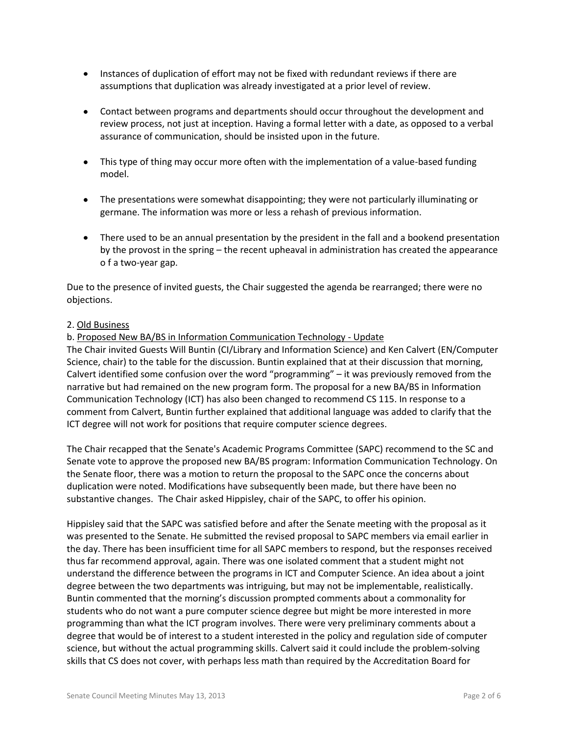- Instances of duplication of effort may not be fixed with redundant reviews if there are assumptions that duplication was already investigated at a prior level of review.
- Contact between programs and departments should occur throughout the development and review process, not just at inception. Having a formal letter with a date, as opposed to a verbal assurance of communication, should be insisted upon in the future.
- This type of thing may occur more often with the implementation of a value-based funding model.
- The presentations were somewhat disappointing; they were not particularly illuminating or germane. The information was more or less a rehash of previous information.
- There used to be an annual presentation by the president in the fall and a bookend presentation by the provost in the spring – the recent upheaval in administration has created the appearance o f a two-year gap.

Due to the presence of invited guests, the Chair suggested the agenda be rearranged; there were no objections.

### 2. Old Business

### b. Proposed New BA/BS in Information Communication Technology - Update

The Chair invited Guests Will Buntin (CI/Library and Information Science) and Ken Calvert (EN/Computer Science, chair) to the table for the discussion. Buntin explained that at their discussion that morning, Calvert identified some confusion over the word "programming" – it was previously removed from the narrative but had remained on the new program form. The proposal for a new BA/BS in Information Communication Technology (ICT) has also been changed to recommend CS 115. In response to a comment from Calvert, Buntin further explained that additional language was added to clarify that the ICT degree will not work for positions that require computer science degrees.

The Chair recapped that the Senate's Academic Programs Committee (SAPC) recommend to the SC and Senate vote to approve the proposed new BA/BS program: Information Communication Technology. On the Senate floor, there was a motion to return the proposal to the SAPC once the concerns about duplication were noted. Modifications have subsequently been made, but there have been no substantive changes. The Chair asked Hippisley, chair of the SAPC, to offer his opinion.

Hippisley said that the SAPC was satisfied before and after the Senate meeting with the proposal as it was presented to the Senate. He submitted the revised proposal to SAPC members via email earlier in the day. There has been insufficient time for all SAPC members to respond, but the responses received thus far recommend approval, again. There was one isolated comment that a student might not understand the difference between the programs in ICT and Computer Science. An idea about a joint degree between the two departments was intriguing, but may not be implementable, realistically. Buntin commented that the morning's discussion prompted comments about a commonality for students who do not want a pure computer science degree but might be more interested in more programming than what the ICT program involves. There were very preliminary comments about a degree that would be of interest to a student interested in the policy and regulation side of computer science, but without the actual programming skills. Calvert said it could include the problem-solving skills that CS does not cover, with perhaps less math than required by the Accreditation Board for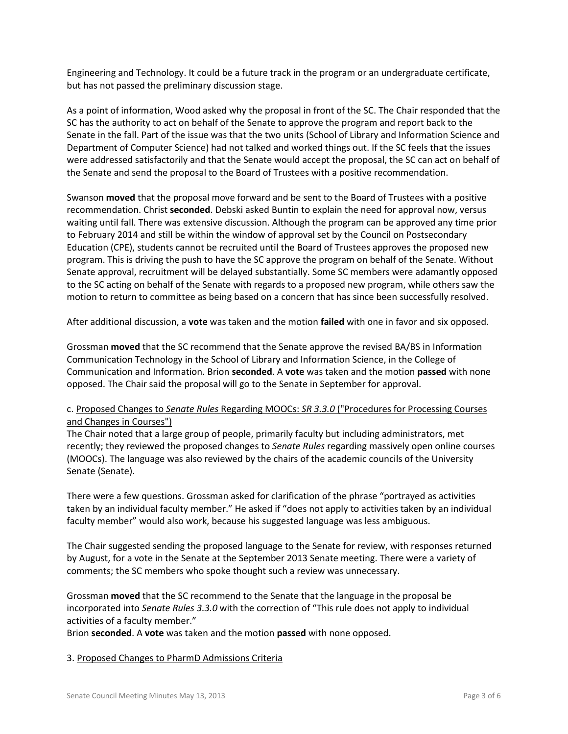Engineering and Technology. It could be a future track in the program or an undergraduate certificate, but has not passed the preliminary discussion stage.

As a point of information, Wood asked why the proposal in front of the SC. The Chair responded that the SC has the authority to act on behalf of the Senate to approve the program and report back to the Senate in the fall. Part of the issue was that the two units (School of Library and Information Science and Department of Computer Science) had not talked and worked things out. If the SC feels that the issues were addressed satisfactorily and that the Senate would accept the proposal, the SC can act on behalf of the Senate and send the proposal to the Board of Trustees with a positive recommendation.

Swanson **moved** that the proposal move forward and be sent to the Board of Trustees with a positive recommendation. Christ **seconded**. Debski asked Buntin to explain the need for approval now, versus waiting until fall. There was extensive discussion. Although the program can be approved any time prior to February 2014 and still be within the window of approval set by the Council on Postsecondary Education (CPE), students cannot be recruited until the Board of Trustees approves the proposed new program. This is driving the push to have the SC approve the program on behalf of the Senate. Without Senate approval, recruitment will be delayed substantially. Some SC members were adamantly opposed to the SC acting on behalf of the Senate with regards to a proposed new program, while others saw the motion to return to committee as being based on a concern that has since been successfully resolved.

After additional discussion, a **vote** was taken and the motion **failed** with one in favor and six opposed.

Grossman **moved** that the SC recommend that the Senate approve the revised BA/BS in Information Communication Technology in the School of Library and Information Science, in the College of Communication and Information. Brion **seconded**. A **vote** was taken and the motion **passed** with none opposed. The Chair said the proposal will go to the Senate in September for approval.

# c. Proposed Changes to *Senate Rules* Regarding MOOCs: *SR 3.3.0* ("Procedures for Processing Courses and Changes in Courses")

The Chair noted that a large group of people, primarily faculty but including administrators, met recently; they reviewed the proposed changes to *Senate Rules* regarding massively open online courses (MOOCs). The language was also reviewed by the chairs of the academic councils of the University Senate (Senate).

There were a few questions. Grossman asked for clarification of the phrase "portrayed as activities taken by an individual faculty member." He asked if "does not apply to activities taken by an individual faculty member" would also work, because his suggested language was less ambiguous.

The Chair suggested sending the proposed language to the Senate for review, with responses returned by August, for a vote in the Senate at the September 2013 Senate meeting. There were a variety of comments; the SC members who spoke thought such a review was unnecessary.

Grossman **moved** that the SC recommend to the Senate that the language in the proposal be incorporated into *Senate Rules 3.3.0* with the correction of "This rule does not apply to individual activities of a faculty member."

Brion **seconded**. A **vote** was taken and the motion **passed** with none opposed.

# 3. Proposed Changes to PharmD Admissions Criteria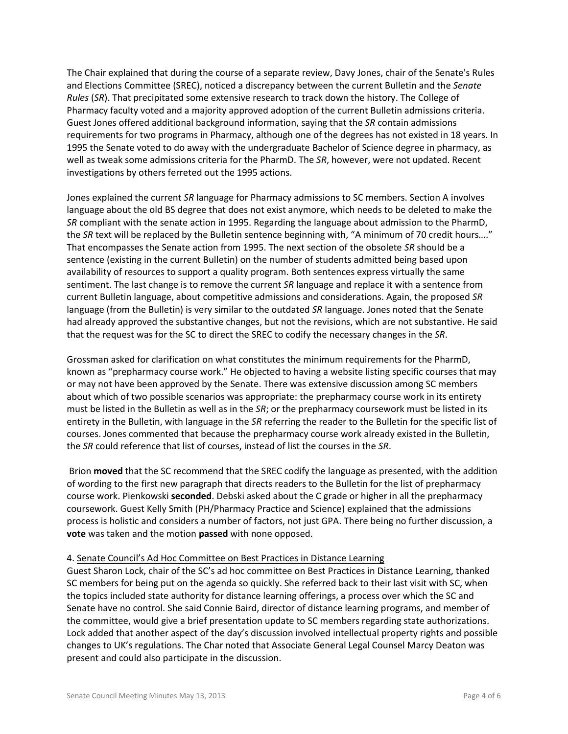The Chair explained that during the course of a separate review, Davy Jones, chair of the Senate's Rules and Elections Committee (SREC), noticed a discrepancy between the current Bulletin and the *Senate Rules* (*SR*). That precipitated some extensive research to track down the history. The College of Pharmacy faculty voted and a majority approved adoption of the current Bulletin admissions criteria. Guest Jones offered additional background information, saying that the *SR* contain admissions requirements for two programs in Pharmacy, although one of the degrees has not existed in 18 years. In 1995 the Senate voted to do away with the undergraduate Bachelor of Science degree in pharmacy, as well as tweak some admissions criteria for the PharmD. The *SR*, however, were not updated. Recent investigations by others ferreted out the 1995 actions.

Jones explained the current *SR* language for Pharmacy admissions to SC members. Section A involves language about the old BS degree that does not exist anymore, which needs to be deleted to make the *SR* compliant with the senate action in 1995. Regarding the language about admission to the PharmD, the *SR* text will be replaced by the Bulletin sentence beginning with, "A minimum of 70 credit hours…." That encompasses the Senate action from 1995. The next section of the obsolete *SR* should be a sentence (existing in the current Bulletin) on the number of students admitted being based upon availability of resources to support a quality program. Both sentences express virtually the same sentiment. The last change is to remove the current *SR* language and replace it with a sentence from current Bulletin language, about competitive admissions and considerations. Again, the proposed *SR* language (from the Bulletin) is very similar to the outdated *SR* language. Jones noted that the Senate had already approved the substantive changes, but not the revisions, which are not substantive. He said that the request was for the SC to direct the SREC to codify the necessary changes in the *SR*.

Grossman asked for clarification on what constitutes the minimum requirements for the PharmD, known as "prepharmacy course work." He objected to having a website listing specific courses that may or may not have been approved by the Senate. There was extensive discussion among SC members about which of two possible scenarios was appropriate: the prepharmacy course work in its entirety must be listed in the Bulletin as well as in the *SR*; or the prepharmacy coursework must be listed in its entirety in the Bulletin, with language in the *SR* referring the reader to the Bulletin for the specific list of courses. Jones commented that because the prepharmacy course work already existed in the Bulletin, the *SR* could reference that list of courses, instead of list the courses in the *SR*.

Brion **moved** that the SC recommend that the SREC codify the language as presented, with the addition of wording to the first new paragraph that directs readers to the Bulletin for the list of prepharmacy course work. Pienkowski **seconded**. Debski asked about the C grade or higher in all the prepharmacy coursework. Guest Kelly Smith (PH/Pharmacy Practice and Science) explained that the admissions process is holistic and considers a number of factors, not just GPA. There being no further discussion, a **vote** was taken and the motion **passed** with none opposed.

#### 4. Senate Council's Ad Hoc Committee on Best Practices in Distance Learning

Guest Sharon Lock, chair of the SC's ad hoc committee on Best Practices in Distance Learning, thanked SC members for being put on the agenda so quickly. She referred back to their last visit with SC, when the topics included state authority for distance learning offerings, a process over which the SC and Senate have no control. She said Connie Baird, director of distance learning programs, and member of the committee, would give a brief presentation update to SC members regarding state authorizations. Lock added that another aspect of the day's discussion involved intellectual property rights and possible changes to UK's regulations. The Char noted that Associate General Legal Counsel Marcy Deaton was present and could also participate in the discussion.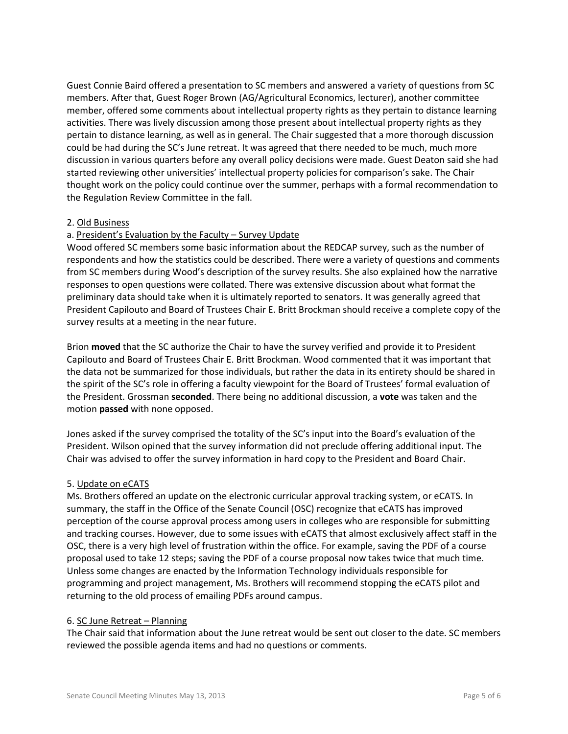Guest Connie Baird offered a presentation to SC members and answered a variety of questions from SC members. After that, Guest Roger Brown (AG/Agricultural Economics, lecturer), another committee member, offered some comments about intellectual property rights as they pertain to distance learning activities. There was lively discussion among those present about intellectual property rights as they pertain to distance learning, as well as in general. The Chair suggested that a more thorough discussion could be had during the SC's June retreat. It was agreed that there needed to be much, much more discussion in various quarters before any overall policy decisions were made. Guest Deaton said she had started reviewing other universities' intellectual property policies for comparison's sake. The Chair thought work on the policy could continue over the summer, perhaps with a formal recommendation to the Regulation Review Committee in the fall.

### 2. Old Business

# a. President's Evaluation by the Faculty – Survey Update

Wood offered SC members some basic information about the REDCAP survey, such as the number of respondents and how the statistics could be described. There were a variety of questions and comments from SC members during Wood's description of the survey results. She also explained how the narrative responses to open questions were collated. There was extensive discussion about what format the preliminary data should take when it is ultimately reported to senators. It was generally agreed that President Capilouto and Board of Trustees Chair E. Britt Brockman should receive a complete copy of the survey results at a meeting in the near future.

Brion **moved** that the SC authorize the Chair to have the survey verified and provide it to President Capilouto and Board of Trustees Chair E. Britt Brockman. Wood commented that it was important that the data not be summarized for those individuals, but rather the data in its entirety should be shared in the spirit of the SC's role in offering a faculty viewpoint for the Board of Trustees' formal evaluation of the President. Grossman **seconded**. There being no additional discussion, a **vote** was taken and the motion **passed** with none opposed.

Jones asked if the survey comprised the totality of the SC's input into the Board's evaluation of the President. Wilson opined that the survey information did not preclude offering additional input. The Chair was advised to offer the survey information in hard copy to the President and Board Chair.

#### 5. Update on eCATS

Ms. Brothers offered an update on the electronic curricular approval tracking system, or eCATS. In summary, the staff in the Office of the Senate Council (OSC) recognize that eCATS has improved perception of the course approval process among users in colleges who are responsible for submitting and tracking courses. However, due to some issues with eCATS that almost exclusively affect staff in the OSC, there is a very high level of frustration within the office. For example, saving the PDF of a course proposal used to take 12 steps; saving the PDF of a course proposal now takes twice that much time. Unless some changes are enacted by the Information Technology individuals responsible for programming and project management, Ms. Brothers will recommend stopping the eCATS pilot and returning to the old process of emailing PDFs around campus.

#### 6. SC June Retreat – Planning

The Chair said that information about the June retreat would be sent out closer to the date. SC members reviewed the possible agenda items and had no questions or comments.